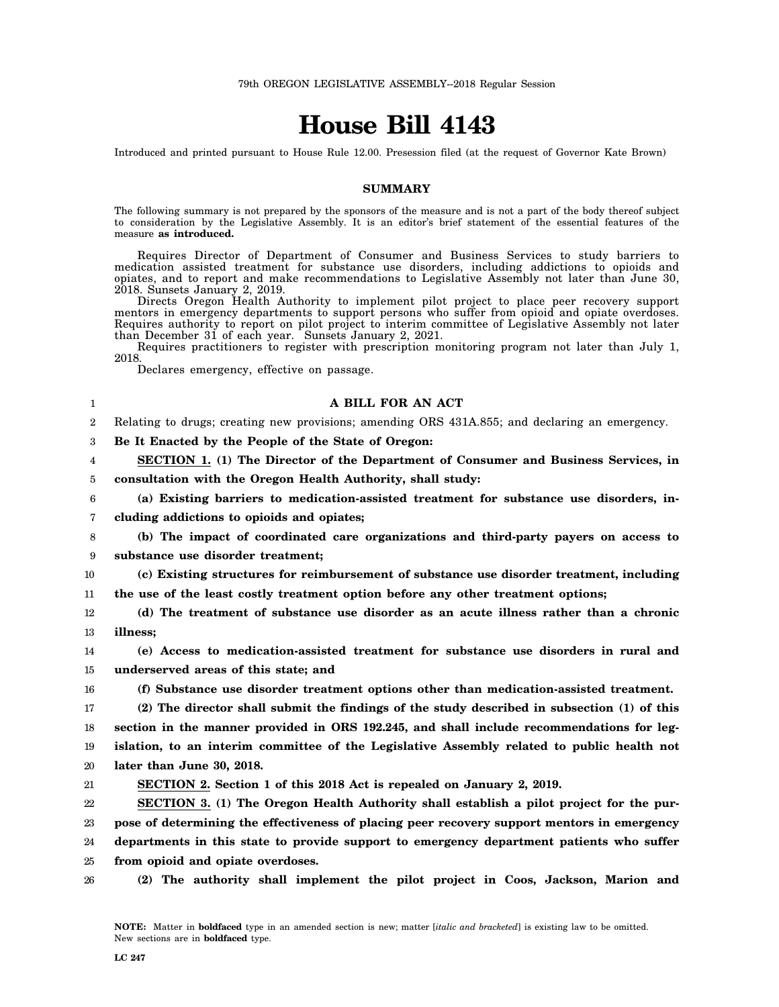## **House Bill 4143**

Introduced and printed pursuant to House Rule 12.00. Presession filed (at the request of Governor Kate Brown)

## **SUMMARY**

The following summary is not prepared by the sponsors of the measure and is not a part of the body thereof subject to consideration by the Legislative Assembly. It is an editor's brief statement of the essential features of the measure **as introduced.**

Requires Director of Department of Consumer and Business Services to study barriers to medication assisted treatment for substance use disorders, including addictions to opioids and opiates, and to report and make recommendations to Legislative Assembly not later than June 30, 2018. Sunsets January 2, 2019.

Directs Oregon Health Authority to implement pilot project to place peer recovery support mentors in emergency departments to support persons who suffer from opioid and opiate overdoses. Requires authority to report on pilot project to interim committee of Legislative Assembly not later than December 31 of each year. Sunsets January 2, 2021.

Requires practitioners to register with prescription monitoring program not later than July 1, 2018.

**A BILL FOR AN ACT**

Declares emergency, effective on passage.

2 Relating to drugs; creating new provisions; amending ORS 431A.855; and declaring an emergency.

3 **Be It Enacted by the People of the State of Oregon:**

4 **SECTION 1. (1) The Director of the Department of Consumer and Business Services, in**

5 **consultation with the Oregon Health Authority, shall study:**

6 7 **(a) Existing barriers to medication-assisted treatment for substance use disorders, including addictions to opioids and opiates;**

8 9 **(b) The impact of coordinated care organizations and third-party payers on access to substance use disorder treatment;**

10 11 **(c) Existing structures for reimbursement of substance use disorder treatment, including the use of the least costly treatment option before any other treatment options;**

12 13 **(d) The treatment of substance use disorder as an acute illness rather than a chronic illness;**

14 15 **(e) Access to medication-assisted treatment for substance use disorders in rural and underserved areas of this state; and**

16

1

**(f) Substance use disorder treatment options other than medication-assisted treatment.**

17 18 19 **(2) The director shall submit the findings of the study described in subsection (1) of this section in the manner provided in ORS 192.245, and shall include recommendations for legislation, to an interim committee of the Legislative Assembly related to public health not**

20 **later than June 30, 2018.**

21 **SECTION 2. Section 1 of this 2018 Act is repealed on January 2, 2019.**

22 **SECTION 3. (1) The Oregon Health Authority shall establish a pilot project for the pur-**

23 **pose of determining the effectiveness of placing peer recovery support mentors in emergency**

24 **departments in this state to provide support to emergency department patients who suffer**

- 25 **from opioid and opiate overdoses.**
- 26 **(2) The authority shall implement the pilot project in Coos, Jackson, Marion and**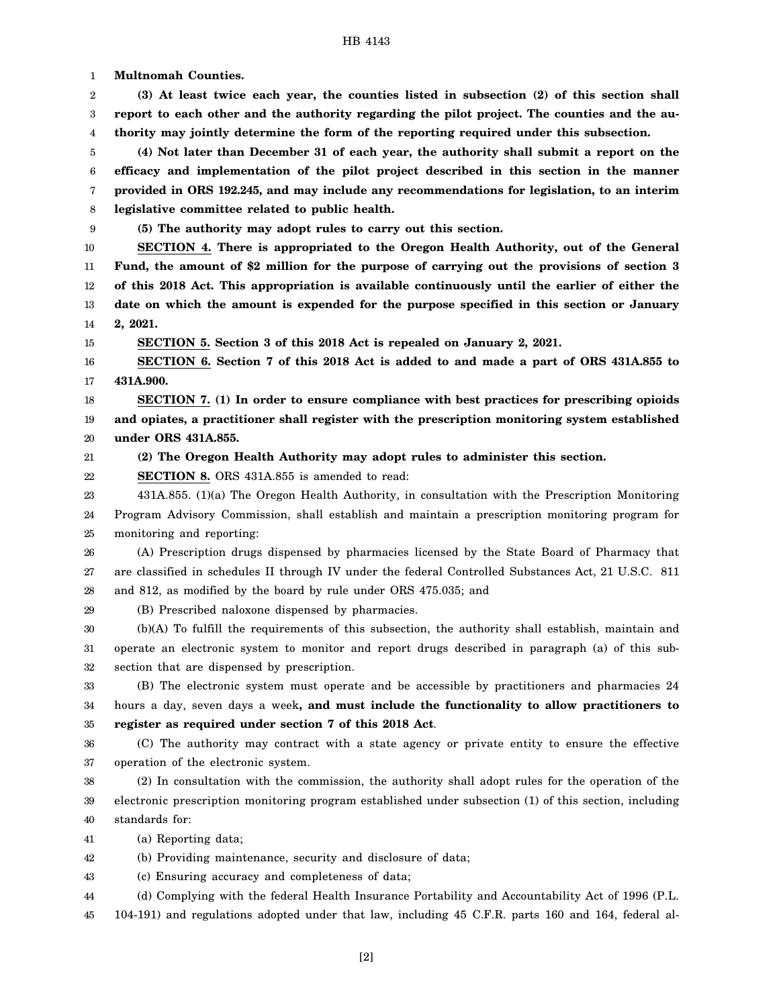1 2 3 4 5 6 7 8 9 10 11 12 13 14 15 16 17 18 19 20 21 22 23 24 25 26 27 28 29 30 31 32 33 34 35 36 37 38 39 40 41 42 43 44 45 **Multnomah Counties. (3) At least twice each year, the counties listed in subsection (2) of this section shall report to each other and the authority regarding the pilot project. The counties and the authority may jointly determine the form of the reporting required under this subsection. (4) Not later than December 31 of each year, the authority shall submit a report on the efficacy and implementation of the pilot project described in this section in the manner provided in ORS 192.245, and may include any recommendations for legislation, to an interim legislative committee related to public health. (5) The authority may adopt rules to carry out this section. SECTION 4. There is appropriated to the Oregon Health Authority, out of the General Fund, the amount of \$2 million for the purpose of carrying out the provisions of section 3 of this 2018 Act. This appropriation is available continuously until the earlier of either the date on which the amount is expended for the purpose specified in this section or January 2, 2021. SECTION 5. Section 3 of this 2018 Act is repealed on January 2, 2021. SECTION 6. Section 7 of this 2018 Act is added to and made a part of ORS 431A.855 to 431A.900. SECTION 7. (1) In order to ensure compliance with best practices for prescribing opioids and opiates, a practitioner shall register with the prescription monitoring system established under ORS 431A.855. (2) The Oregon Health Authority may adopt rules to administer this section. SECTION 8.** ORS 431A.855 is amended to read: 431A.855. (1)(a) The Oregon Health Authority, in consultation with the Prescription Monitoring Program Advisory Commission, shall establish and maintain a prescription monitoring program for monitoring and reporting: (A) Prescription drugs dispensed by pharmacies licensed by the State Board of Pharmacy that are classified in schedules II through IV under the federal Controlled Substances Act, 21 U.S.C. 811 and 812, as modified by the board by rule under ORS 475.035; and (B) Prescribed naloxone dispensed by pharmacies. (b)(A) To fulfill the requirements of this subsection, the authority shall establish, maintain and operate an electronic system to monitor and report drugs described in paragraph (a) of this subsection that are dispensed by prescription. (B) The electronic system must operate and be accessible by practitioners and pharmacies 24 hours a day, seven days a week**, and must include the functionality to allow practitioners to register as required under section 7 of this 2018 Act**. (C) The authority may contract with a state agency or private entity to ensure the effective operation of the electronic system. (2) In consultation with the commission, the authority shall adopt rules for the operation of the electronic prescription monitoring program established under subsection (1) of this section, including standards for: (a) Reporting data; (b) Providing maintenance, security and disclosure of data; (c) Ensuring accuracy and completeness of data; (d) Complying with the federal Health Insurance Portability and Accountability Act of 1996 (P.L. 104-191) and regulations adopted under that law, including 45 C.F.R. parts 160 and 164, federal al-